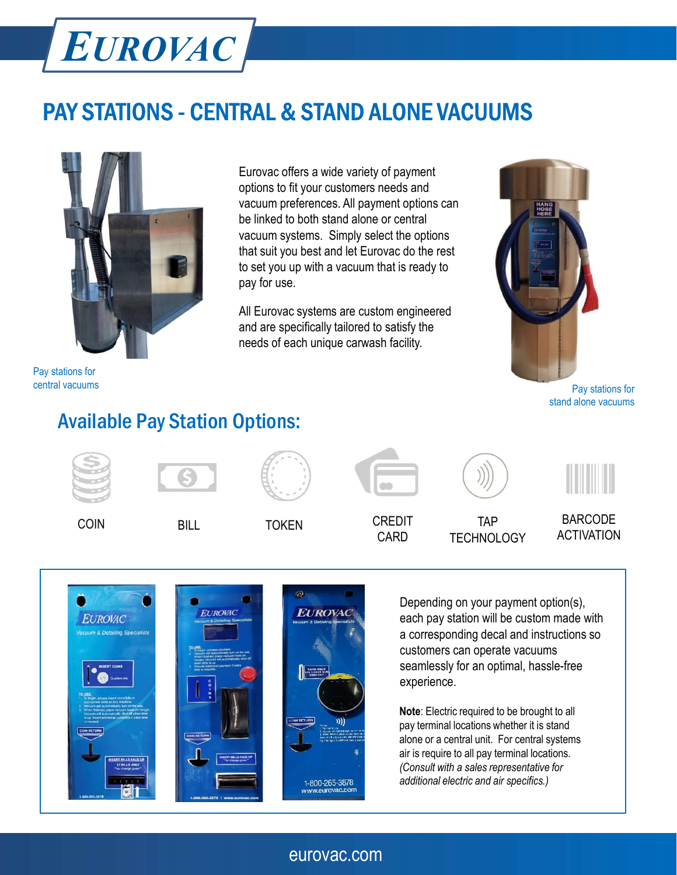# EUROVAC

# **EUROVAC**<br>
PAY STATIONS - CENTRAL & STAND ALONE VACUUMS<br>
Eurovac offers a wide variety of payment<br>
options to fit your customers needs and



Pay stations for central vacuums

**PRAL & STAND ALONE VACUUMS**<br>Eurovac offers a wide variety of payment<br>options to fit your customers needs and<br>vacuum preferences. All payment options can<br>be linked to both stand alone or central<br>vacuum systems. Simply sele options to fit your customers needs and vacuum preferences. All payment options can be linked to both stand alone or central vacuum systems. Simply select the options that suit you best and let Eurovac do the rest to set you up with a vacuum that is ready to pay for use. **RAL & STAND ALONE VACUUMS**<br>
Eurovac offers a wide variety of payment<br>
options to fit your customers needs and<br>
vacuum preferences. All payment options can<br>
be linked to both stand alone or central<br>
that suit you best and

and are specifically tailored to satisfy the needs of each unique carwash facility.



Pay stations for stand alone vacuums

# Available Pay Station Options:









CARD TECHNOLOGY

ACTIVATION





Depending on your payment option(s), each pay station will be custom made with a corresponding decal and instructions so customers can operate vacuums seamlessly for an optimal, hassle-free experience.

Note: Electric required to be brought to all pay terminal locations whether it is stand alone or a central unit. For central systems air is require to all pay terminal locations. (Consult with a sales representative for additional electric and air specifics.)

### eurovac.com